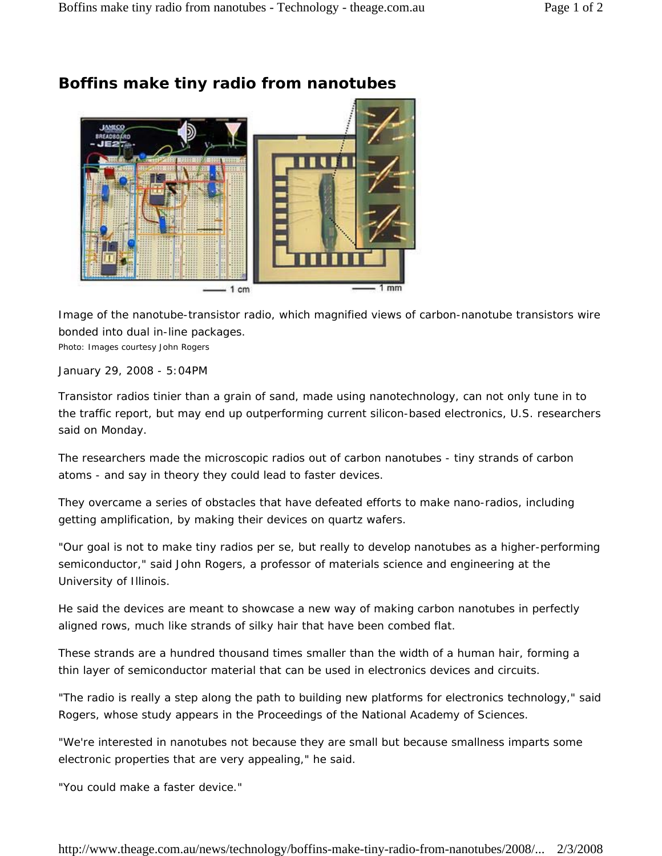

## **Boffins make tiny radio from nanotubes**

Image of the nanotube-transistor radio, which magnified views of carbon-nanotube transistors wire bonded into dual in-line packages.

Photo: *Images courtesy John Rogers*

January 29, 2008 - 5:04PM

Transistor radios tinier than a grain of sand, made using nanotechnology, can not only tune in to the traffic report, but may end up outperforming current silicon-based electronics, U.S. researchers said on Monday.

The researchers made the microscopic radios out of carbon nanotubes - tiny strands of carbon atoms - and say in theory they could lead to faster devices.

They overcame a series of obstacles that have defeated efforts to make nano-radios, including getting amplification, by making their devices on quartz wafers.

"Our goal is not to make tiny radios per se, but really to develop nanotubes as a higher-performing semiconductor," said John Rogers, a professor of materials science and engineering at the University of Illinois.

He said the devices are meant to showcase a new way of making carbon nanotubes in perfectly aligned rows, much like strands of silky hair that have been combed flat.

These strands are a hundred thousand times smaller than the width of a human hair, forming a thin layer of semiconductor material that can be used in electronics devices and circuits.

"The radio is really a step along the path to building new platforms for electronics technology," said Rogers, whose study appears in the Proceedings of the National Academy of Sciences.

"We're interested in nanotubes not because they are small but because smallness imparts some electronic properties that are very appealing," he said.

"You could make a faster device."